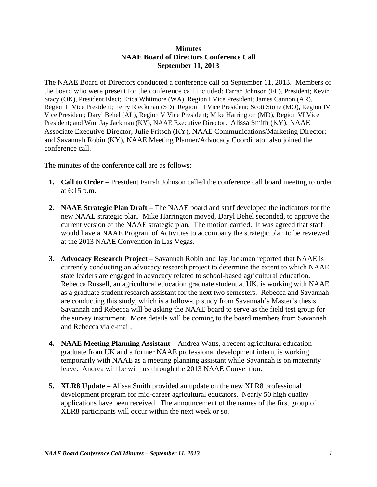## **Minutes NAAE Board of Directors Conference Call September 11, 2013**

The NAAE Board of Directors conducted a conference call on September 11, 2013. Members of the board who were present for the conference call included: Farrah Johnson (FL), President; Kevin Stacy (OK), President Elect; Erica Whitmore (WA), Region I Vice President; James Cannon (AR), Region II Vice President; Terry Rieckman (SD), Region III Vice President; Scott Stone (MO), Region IV Vice President; Daryl Behel (AL), Region V Vice President; Mike Harrington (MD), Region VI Vice President; and Wm. Jay Jackman (KY), NAAE Executive Director. Alissa Smith (KY), NAAE Associate Executive Director; Julie Fritsch (KY), NAAE Communications/Marketing Director; and Savannah Robin (KY), NAAE Meeting Planner/Advocacy Coordinator also joined the conference call.

The minutes of the conference call are as follows:

- **1. Call to Order** President Farrah Johnson called the conference call board meeting to order at 6:15 p.m.
- **2. NAAE Strategic Plan Draft** The NAAE board and staff developed the indicators for the new NAAE strategic plan. Mike Harrington moved, Daryl Behel seconded, to approve the current version of the NAAE strategic plan. The motion carried. It was agreed that staff would have a NAAE Program of Activities to accompany the strategic plan to be reviewed at the 2013 NAAE Convention in Las Vegas.
- **3. Advocacy Research Project** Savannah Robin and Jay Jackman reported that NAAE is currently conducting an advocacy research project to determine the extent to which NAAE state leaders are engaged in advocacy related to school-based agricultural education. Rebecca Russell, an agricultural education graduate student at UK, is working with NAAE as a graduate student research assistant for the next two semesters. Rebecca and Savannah are conducting this study, which is a follow-up study from Savannah's Master's thesis. Savannah and Rebecca will be asking the NAAE board to serve as the field test group for the survey instrument. More details will be coming to the board members from Savannah and Rebecca via e-mail.
- **4. NAAE Meeting Planning Assistant** Andrea Watts, a recent agricultural education graduate from UK and a former NAAE professional development intern, is working temporarily with NAAE as a meeting planning assistant while Savannah is on maternity leave. Andrea will be with us through the 2013 NAAE Convention.
- **5. XLR8 Update** Alissa Smith provided an update on the new XLR8 professional development program for mid-career agricultural educators. Nearly 50 high quality applications have been received. The announcement of the names of the first group of XLR8 participants will occur within the next week or so.